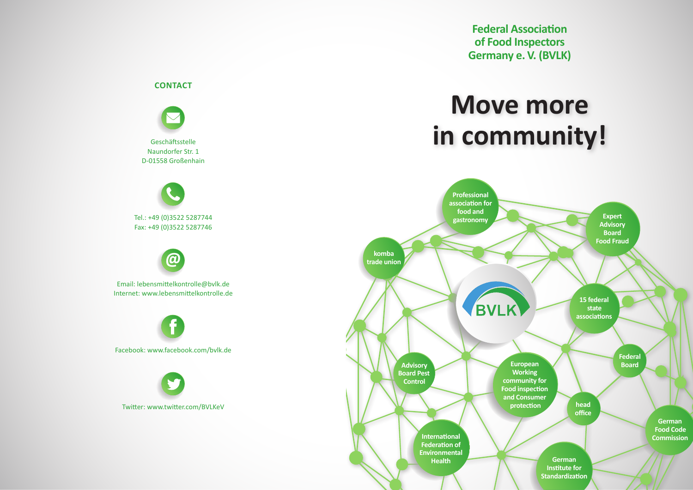**Federal Association of Food Inspectors Germany e. V. (BVLK)**

# **Move more in community!**



**CONTACT**

Geschäftsstelle Naundorfer Str. 1 D-01558 Großenhain

Tel.: +49 (0)3522 5287744 Fax: +49 (0)3522 5287746

**@**

Email: lebensmittelkontrolle@bvlk.de Internet: www.lebensmittelkontrolle.de

Facebook: www.facebook.com/bvlk.de

Twitter: www.twitter.com/BVLKeV